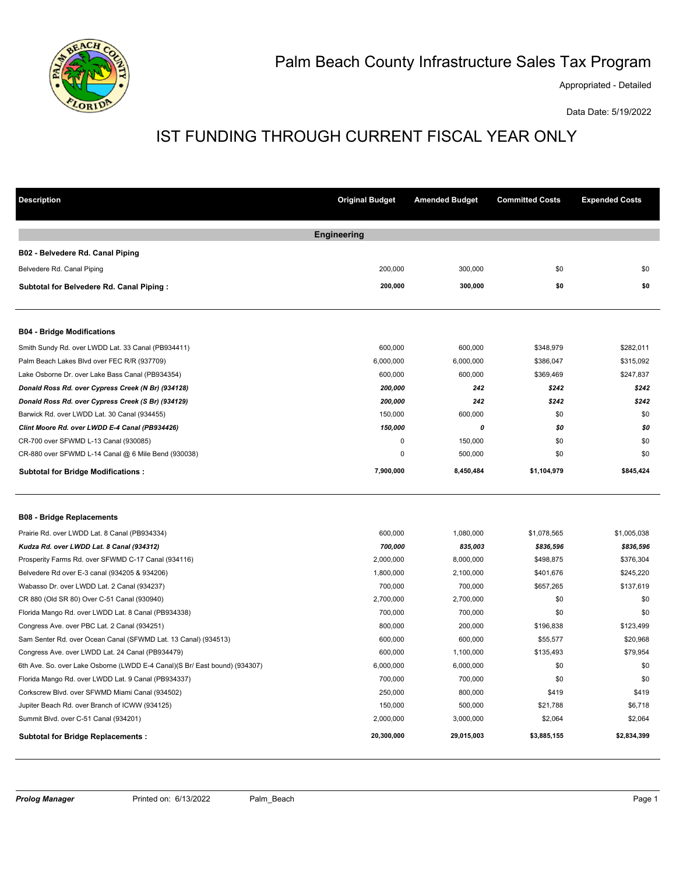

# Palm Beach County Infrastructure Sales Tax Program

Appropriated - Detailed

Data Date: 5/19/2022

# IST FUNDING THROUGH CURRENT FISCAL YEAR ONLY

| <b>Description</b>                                                         | <b>Original Budget</b> | <b>Amended Budget</b> | <b>Committed Costs</b> | <b>Expended Costs</b> |
|----------------------------------------------------------------------------|------------------------|-----------------------|------------------------|-----------------------|
|                                                                            | <b>Engineering</b>     |                       |                        |                       |
| B02 - Belvedere Rd. Canal Piping                                           |                        |                       |                        |                       |
| Belvedere Rd. Canal Piping                                                 | 200,000                | 300,000               | \$0                    | \$0                   |
| Subtotal for Belvedere Rd. Canal Piping:                                   | 200,000                | 300,000               | \$0                    | \$0                   |
| <b>B04 - Bridge Modifications</b>                                          |                        |                       |                        |                       |
| Smith Sundy Rd. over LWDD Lat. 33 Canal (PB934411)                         | 600,000                | 600,000               | \$348,979              | \$282,011             |
| Palm Beach Lakes Blvd over FEC R/R (937709)                                | 6,000,000              | 6,000,000             | \$386,047              | \$315,092             |
| Lake Osborne Dr. over Lake Bass Canal (PB934354)                           | 600,000                | 600,000               | \$369,469              | \$247,837             |
| Donald Ross Rd. over Cypress Creek (N Br) (934128)                         | 200,000                | 242                   | \$242                  | \$242                 |
| Donald Ross Rd. over Cypress Creek (S Br) (934129)                         | 200,000                | 242                   | \$242                  | \$242                 |
| Barwick Rd. over LWDD Lat. 30 Canal (934455)                               | 150,000                | 600,000               | \$0                    | \$0                   |
| Clint Moore Rd. over LWDD E-4 Canal (PB934426)                             | 150,000                | 0                     | \$0                    | \$0                   |
| CR-700 over SFWMD L-13 Canal (930085)                                      | $\mathbf 0$            | 150,000               | \$0                    | \$0                   |
| CR-880 over SFWMD L-14 Canal @ 6 Mile Bend (930038)                        | $\mathbf 0$            | 500,000               | \$0                    | \$0                   |
| <b>Subtotal for Bridge Modifications:</b>                                  | 7,900,000              | 8,450,484             | \$1,104,979            | \$845,424             |
| <b>B08 - Bridge Replacements</b>                                           |                        |                       |                        |                       |
| Prairie Rd. over LWDD Lat. 8 Canal (PB934334)                              | 600,000                | 1,080,000             | \$1,078,565            | \$1,005,038           |
| Kudza Rd. over LWDD Lat. 8 Canal (934312)                                  | 700,000                | 835,003               | \$836,596              | \$836,596             |
| Prosperity Farms Rd. over SFWMD C-17 Canal (934116)                        | 2,000,000              | 8,000,000             | \$498,875              | \$376,304             |
| Belvedere Rd over E-3 canal (934205 & 934206)                              | 1,800,000              | 2,100,000             | \$401,676              | \$245,220             |
| Wabasso Dr. over LWDD Lat. 2 Canal (934237)                                | 700,000                | 700,000               | \$657,265              | \$137,619             |
| CR 880 (Old SR 80) Over C-51 Canal (930940)                                | 2,700,000              | 2,700,000             | \$0                    | \$0                   |
| Florida Mango Rd. over LWDD Lat. 8 Canal (PB934338)                        | 700,000                | 700,000               | \$0                    | \$0                   |
| Congress Ave. over PBC Lat. 2 Canal (934251)                               | 800,000                | 200,000               | \$196,838              | \$123,499             |
| Sam Senter Rd. over Ocean Canal (SFWMD Lat. 13 Canal) (934513)             | 600,000                | 600,000               | \$55,577               | \$20,968              |
| Congress Ave. over LWDD Lat. 24 Canal (PB934479)                           | 600,000                | 1,100,000             | \$135,493              | \$79,954              |
| 6th Ave. So. over Lake Osborne (LWDD E-4 Canal)(S Br/ East bound) (934307) | 6,000,000              | 6,000,000             | \$0                    | \$0                   |
| Florida Mango Rd. over LWDD Lat. 9 Canal (PB934337)                        | 700,000                | 700,000               | \$0                    | \$0                   |
| Corkscrew Blvd. over SFWMD Miami Canal (934502)                            | 250,000                | 800,000               | \$419                  | \$419                 |
| Jupiter Beach Rd. over Branch of ICWW (934125)                             | 150,000                | 500,000               | \$21,788               | \$6,718               |
| Summit Blvd. over C-51 Canal (934201)                                      | 2,000,000              | 3,000,000             | \$2,064                | \$2,064               |
| <b>Subtotal for Bridge Replacements:</b>                                   | 20,300,000             | 29,015,003            | \$3,885,155            | \$2,834,399           |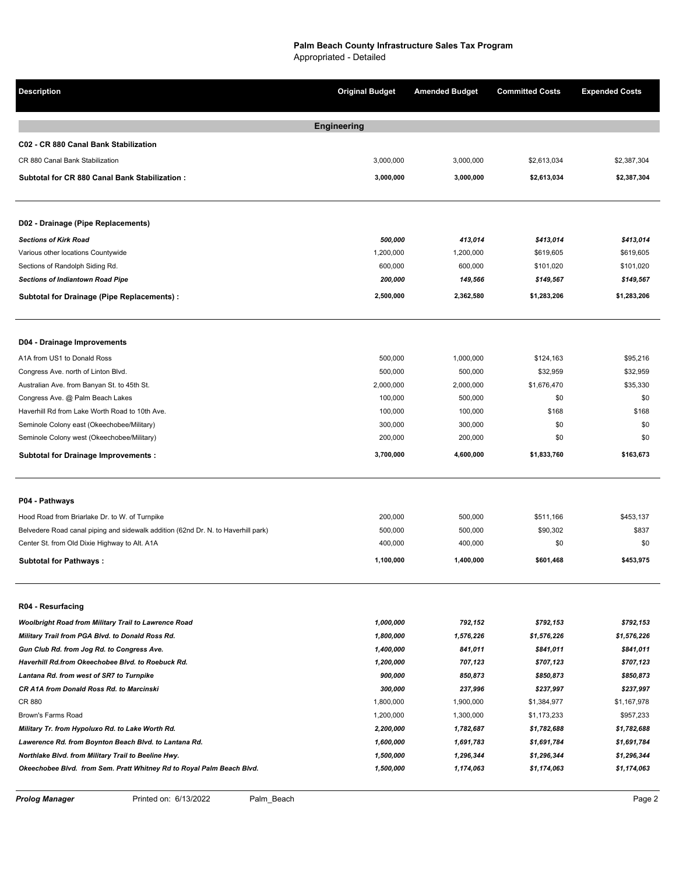**Description Original Budget Amended Budget Committed Costs Expended Costs Engineering C02 - CR 880 Canal Bank Stabilization** CR 880 Canal Bank Stabilization 3,000,000 3,000,000 \$2,613,034 \$2,387,304 **Subtotal for CR 880 Canal Bank Stabilization : 1 3,000,000 3,000,000 \$2,613,034 \$2,387,304 D02 - Drainage (Pipe Replacements)** *Sections of Kirk Road 500,000 413,014 \$413,014 \$413,014*  Various other locations Countywide 619,605 619,605 1,200,000 1,200,000 1,200,000 5619,605 5619,605 6619,605 \$619,605 Sections of Randolph Siding Rd. 600,000 600,000 \$101,020 \$101,020 *Sections of Indiantown Road Pipe 200,000 149,566 \$149,567 \$149,567*  **Subtotal for Drainage (Pipe Replacements) : 4 2,500,000 2,362,580 \$1,283,206 \$1,283,206 D04 - Drainage Improvements** A1A from US1 to Donald Ross \$95.216 **500,000** 500,000 5124,163 \$95.216 Congress Ave. north of Linton Blvd. 500,000 500,000 \$32,959 \$32,959 Australian Ave. from Banyan St. to 45th St. 2,55,330  $\frac{100,000}{100,000}$  and  $\frac{100,000}{100,000}$  50,000  $\frac{100,000}{100,000}$   $\frac{100,000}{100,000}$   $\frac{100,000}{100,000}$ Haverhill Rd from Lake Worth Road to 10th Ave. 100,000 100,000 \$168 \$168 Seminole Colony east (Okeechobee/Military) 300,000 300,000 300,000 300,000 \$0 \$0 Seminole Colony west (Okeechobee/Military) 200,000 200,000 \$0 \$0 **Subtotal for Drainage Improvements : 7 3,700,000 4,600,000 \$1,833,760 \$163,673 P04 - Pathways** Hood Road from Briarlake Dr. to W. of Turnpike 200,000 500,000 500,000 500,000 \$511,166 \$453,137 Belvedere Road canal piping and sidewalk addition (62nd Dr. N. to Haverhill park) 500,000 500,000 500,000 \$90,302 \$837 Center St. from Old Dixie Highway to Alt. A1A 400,000 400,000 400,000 400,000 \$0 \$0 \$0 **Subtotal for Pathways : 3 1,100,000 1,400,000 \$601,468 \$453,975 R04 - Resurfacing** *Woolbright Road from Military Trail to Lawrence Road 1,000,000 792,152 \$792,153 \$792,153 Military Trail from PGA Blvd. to Donald Ross Rd. 1,800,000 1,576,226 \$1,576,226 \$1,576,226 Gun Club Rd. from Jog Rd. to Congress Ave. 1,400,000 841,011 \$841,011 \$841,011 Haverhill Rd.from Okeechobee Blvd. to Roebuck Rd. 1,200,000 707,123 \$707,123 \$707,123 Lantana Rd. from west of SR7 to Turnpike 900,000 850,873 \$850,873 \$850,873 CR A1A from Donald Ross Rd. to Marcinski 300,000 237,996 \$237,997 \$237,997*  CR 880 1,800,000 1,900,000 \$1,384,977 \$1,167,978 Brown's Farms Road 1,200,000 1,300,000 \$1,173,233 \$957,233 *Military Tr. from Hypoluxo Rd. to Lake Worth Rd. 2,200,000 1,782,687 \$1,782,688 \$1,782,688 Lawerence Rd. from Boynton Beach Blvd. to Lantana Rd. 1,600,000 1,691,783 \$1,691,784 \$1,691,784 Northlake Blvd. from Military Trail to Beeline Hwy. 1,500,000 1,296,344 \$1,296,344 \$1,296,344 Okeechobee Blvd. from Sem. Pratt Whitney Rd to Royal Palm Beach Blvd. 1,500,000 1,174,063 \$1,174,063 \$1,174,063*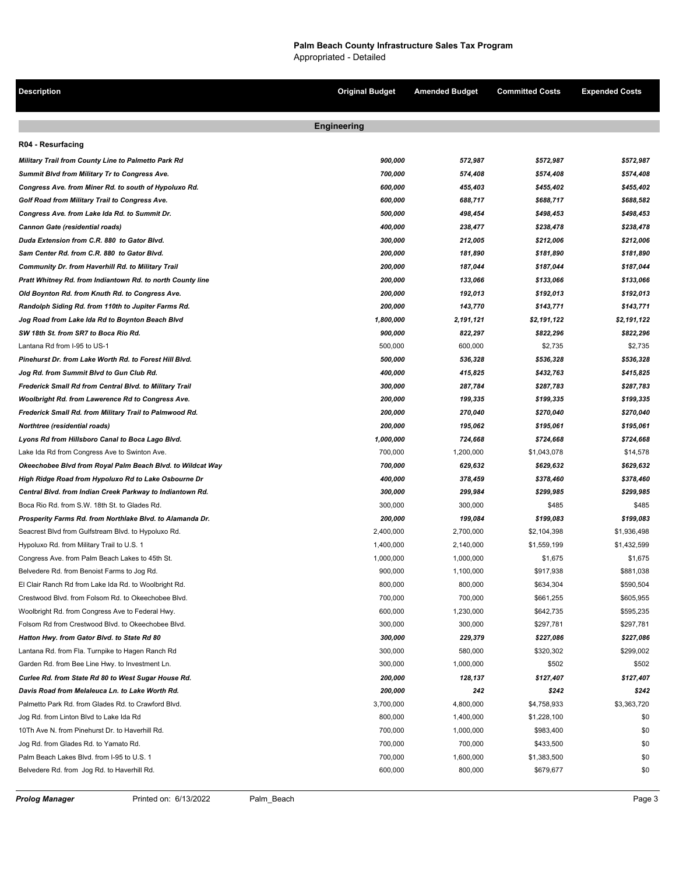**Description Original Budget Amended Budget Committed Costs Expended Costs Engineering R04 - Resurfacing** *Military Trail from County Line to Palmetto Park Rd 900,000 572,987 \$572,987 \$572,987 Summit Blvd from Military Tr to Congress Ave. 700,000 574,408 \$574,408 \$574,408 Congress Ave. from Miner Rd. to south of Hypoluxo Rd. 600,000 455,403 \$455,402 \$455,402 Golf Road from Military Trail to Congress Ave. 600,000 688,717 \$688,717 \$688,582 Congress Ave. from Lake Ida Rd. to Summit Dr. 500,000 498,454 \$498,453 \$498,453 Cannon Gate (residential roads) 400,000 238,477 \$238,478 \$238,478 Duda Extension from C.R. 880 to Gator Blvd. 300,000 212,005 \$212,006 \$212,006 Sam Center Rd. from C.R. 880 to Gator Blvd. 200,000 181,890 \$181,890 \$181,890 Community Dr. from Haverhill Rd. to Military Trail 200,000 187,044 \$187,044 \$187,044 Pratt Whitney Rd. from Indiantown Rd. to north County line 200,000 133,066 \$133,066 \$133,066 Old Boynton Rd. from Knuth Rd. to Congress Ave. 200,000 192,013 \$192,013 \$192,013 Randolph Siding Rd. from 110th to Jupiter Farms Rd. 200,000 143,770 \$143,771 \$143,771 Jog Road from Lake Ida Rd to Boynton Beach Blvd 1,800,000 2,191,121 \$2,191,122 \$2,191,122 SW 18th St. from SR7 to Boca Rio Rd. 900,000 822,297 \$822,296 \$822,296*  Lantana Rd from I-95 to US-1 52,735 \$2,735 \$2,735 \$2,735 \$2,735 \$2,735 \$2,735 \$2,735 \$2,735 \$2,735 \$2,735 \$2,735 *Pinehurst Dr. from Lake Worth Rd. to Forest Hill Blvd. 500,000 536,328 \$536,328 \$536,328 Jog Rd. from Summit Blvd to Gun Club Rd. 400,000 415,825 \$432,763 \$415,825 Frederick Small Rd from Central Blvd. to Military Trail 300,000 287,784 \$287,783 \$287,783 Woolbright Rd. from Lawerence Rd to Congress Ave. 200,000 199,335 \$199,335 \$199,335 Frederick Small Rd. from Military Trail to Palmwood Rd. 200,000 270,040 \$270,040 \$270,040 Northtree (residential roads) 200,000 195,062 \$195,061 \$195,061 Lyons Rd from Hillsboro Canal to Boca Lago Blvd. 1,000,000 724,668 \$724,668 \$724,668*  Lake Ida Rd from Congress Ave to Swinton Ave. 6. 2014. The State of May 1,200,000 51,200,000 \$1,043,078 \$14,578 *Okeechobee Blvd from Royal Palm Beach Blvd. to Wildcat Way 700,000 629,632 \$629,632 \$629,632 High Ridge Road from Hypoluxo Rd to Lake Osbourne Dr 400,000 378,459 \$378,460 \$378,460 Central Blvd. from Indian Creek Parkway to Indiantown Rd. 300,000 299,984 \$299,985 \$299,985*  Boca Rio Rd. from S.W. 18th St. to Glades Rd. 305,000 300,000 300,000 300,000 \$485 \$485 \$485 *Prosperity Farms Rd. from Northlake Blvd. to Alamanda Dr. 200,000 199,084 \$199,083 \$199,083*  Seacrest Blvd from Gulfstream Blvd. to Hypoluxo Rd. 2,400,000 2,400,000 2,700,000 \$2,104,398 \$1,936,498 \$1,936,498 Hypoluxo Rd. from Military Trail to U.S. 1 1,400,000 2,140,000 \$1,559,199 \$1,432,599 Congress Ave. from Palm Beach Lakes to 45th St. 1,000 1,000,000 1,000,000 51,675 \$1,675 \$1,675 \$1,675 Belvedere Rd. from Benoist Farms to Jog Rd. 6881,038 \$89. [19] Section 1,100,000 1,100,000 \$917,938 \$881,038 El Clair Ranch Rd from Lake Ida Rd. to Woolbright Rd. 60000 800,000 800,000 800,000 8634,304 \$590,504 \$590,504 Crestwood Blvd. from Folsom Rd. to Okeechobee Blvd. 700,000 700,000 \$661,255 \$605,955 Woolbright Rd. from Congress Ave to Federal Hwy. 600,000 1,230,000 5642,735 \$595,235 \$595,235 Folsom Rd from Crestwood Blvd. to Okeechobee Blvd. 300,000 300,000 \$297,781 \$297,781 *Hatton Hwy. from Gator Blvd. to State Rd 80 300,000 229,379 \$227,086 \$227,086*  Lantana Rd. from Fla. Turnpike to Hagen Ranch Rd 300,000 580,000 580,000 580,000 \$299,002 \$299,002 Garden Rd. from Bee Line Hwy. to Investment Ln.  $$502$  \$502 *Curlee Rd. from State Rd 80 to West Sugar House Rd. 200,000 128,137 \$127,407 \$127,407 Davis Road from Melaleuca Ln. to Lake Worth Rd. 200,000 242 \$242 \$242*  Palmetto Park Rd. from Glades Rd. to Crawford Blvd. 3,700,000 \$4,800,000 \$4,800,000 \$4,758,933 \$3,363,720 Jog Rd. from Linton Blvd to Lake Ida Rd 800,000 **800,000 1,400,000 800,000** \$1,228,100 \$00,000 \$1,228,100 \$00,000 \$1,228,100 \$0 10Th Ave N. from Pinehurst Dr. to Haverhill Rd. 700,000 1,000,000 \$983,400 \$0 Jog Rd. from Glades Rd. to Yamato Rd. 700,000 700,000 \$433,500 \$0 Palm Beach Lakes Blvd. from I-95 to U.S. 1  $700,000$  1,600,000  $\$1,383,500$  \$0 Belvedere Rd. from Jog Rd. to Haverhill Rd. 600,000 600,000 800,000 800,000 \$679,677 \$00,000 \$079,677 \$00,000 \$079,677 \$00,000 \$079,677 \$00,000 \$079,677 \$00,000 \$079,677 \$00,000 \$079,677 \$00,000 \$079,677 \$00,000 \$079,677 \$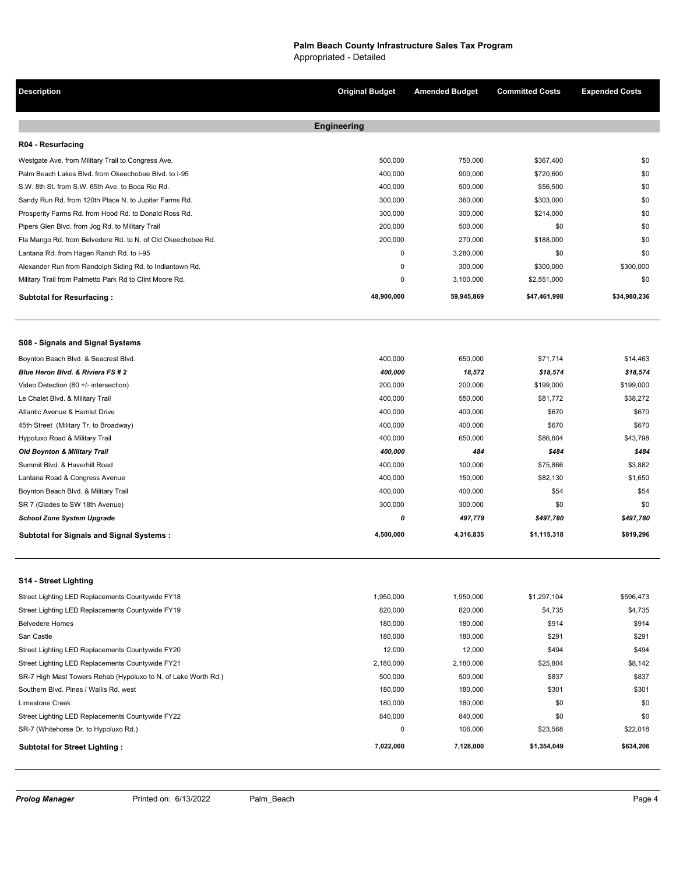# **Palm Beach County Infrastructure Sales Tax Program**

Appropriated - Detailed

| <b>Description</b>                                             | <b>Original Budget</b> | <b>Amended Budget</b> | <b>Committed Costs</b> | <b>Expended Costs</b> |
|----------------------------------------------------------------|------------------------|-----------------------|------------------------|-----------------------|
|                                                                | <b>Engineering</b>     |                       |                        |                       |
| R04 - Resurfacing                                              |                        |                       |                        |                       |
| Westgate Ave. from Military Trail to Congress Ave.             | 500,000                | 750,000               | \$367,400              | \$0                   |
| Palm Beach Lakes Blvd. from Okeechobee Blvd. to I-95           | 400,000                | 900,000               | \$720,600              | \$0                   |
| S.W. 8th St. from S.W. 65th Ave. to Boca Rio Rd.               | 400,000                | 500,000               | \$56,500               | \$0                   |
| Sandy Run Rd. from 120th Place N. to Jupiter Farms Rd.         | 300,000                | 360,000               | \$303,000              | \$0                   |
| Prosperity Farms Rd. from Hood Rd. to Donald Ross Rd.          | 300,000                | 300,000               | \$214,000              | \$0                   |
| Pipers Glen Blvd. from Jog Rd. to Military Trail               | 200,000                | 500,000               | \$0                    | \$0                   |
| Fla Mango Rd. from Belvedere Rd. to N. of Old Okeechobee Rd.   | 200,000                | 270,000               | \$188,000              | \$0                   |
| Lantana Rd. from Hagen Ranch Rd. to I-95                       | 0                      | 3,280,000             | \$0                    | \$0                   |
| Alexander Run from Randolph Siding Rd. to Indiantown Rd.       | 0                      | 300,000               | \$300,000              | \$300,000             |
| Military Trail from Palmetto Park Rd to Clint Moore Rd.        | 0                      | 3,100,000             | \$2,551,000            | \$0                   |
| <b>Subtotal for Resurfacing:</b>                               | 48,900,000             | 59,945,869            | \$47,461,998           | \$34,980,236          |
| S08 - Signals and Signal Systems                               |                        |                       |                        |                       |
| Boynton Beach Blvd. & Seacrest Blvd.                           | 400,000                | 650,000               | \$71,714               | \$14,463              |
| Blue Heron Blvd. & Riviera FS # 2                              | 400,000                | 18,572                | \$18,574               | \$18,574              |
| Video Detection (80 +/- intersection)                          | 200,000                | 200,000               | \$199,000              | \$199,000             |
| Le Chalet Blvd. & Military Trail                               | 400,000                | 550,000               | \$81,772               | \$38,272              |
| Atlantic Avenue & Hamlet Drive                                 | 400,000                | 400,000               | \$670                  | \$670                 |
| 45th Street (Military Tr. to Broadway)                         | 400,000                | 400,000               | \$670                  | \$670                 |
| Hypoluxo Road & Military Trail                                 | 400,000                | 650,000               | \$86,604               | \$43,798              |
| <b>Old Boynton &amp; Military Trail</b>                        | 400,000                | 484                   | \$484                  | \$484                 |
| Summit Blvd. & Haverhill Road                                  | 400,000                | 100,000               | \$75,866               | \$3,882               |
| Lantana Road & Congress Avenue                                 | 400,000                | 150,000               | \$82,130               | \$1,650               |
| Boynton Beach Blvd. & Military Trail                           | 400,000                | 400,000               | \$54                   | \$54                  |
| SR 7 (Glades to SW 18th Avenue)                                | 300,000                | 300,000               | \$0                    | \$0                   |
| <b>School Zone System Upgrade</b>                              | 0                      | 497,779               | \$497,780              | \$497,780             |
| <b>Subtotal for Signals and Signal Systems:</b>                | 4,500,000              | 4,316,835             | \$1,115,318            | \$819,296             |
| S14 - Street Lighting                                          |                        |                       |                        |                       |
| Street Lighting LED Replacements Countywide FY18               | 1,950,000              | 1,950,000             | \$1,297,104            | \$596,473             |
| Street Lighting LED Replacements Countywide FY19               | 820,000                | 820,000               | \$4,735                | \$4,735               |
| <b>Belvedere Homes</b>                                         | 180,000                | 180,000               | \$914                  | \$914                 |
| San Castle                                                     | 180,000                | 180,000               | \$291                  | \$291                 |
| Street Lighting LED Replacements Countywide FY20               | 12,000                 | 12,000                | \$494                  | \$494                 |
| Street Lighting LED Replacements Countywide FY21               | 2,180,000              | 2,180,000             | \$25,804               | \$8,142               |
| SR-7 High Mast Towers Rehab (Hypoluxo to N. of Lake Worth Rd.) | 500,000                | 500,000               | \$837                  | \$837                 |
| Southern Blvd. Pines / Wallis Rd. west                         | 180,000                | 180,000               | \$301                  | \$301                 |
| <b>Limestone Creek</b>                                         | 180,000                | 180,000               | \$0                    | \$0                   |
| Street Lighting LED Replacements Countywide FY22               | 840,000                | 840,000               | \$0                    | \$0                   |
| SR-7 (Whitehorse Dr. to Hypoluxo Rd.)                          | 0                      | 106,000               | \$23,568               | \$22,018              |
| <b>Subtotal for Street Lighting:</b>                           | 7,022,000              | 7,128,000             | \$1,354,049            | \$634,206             |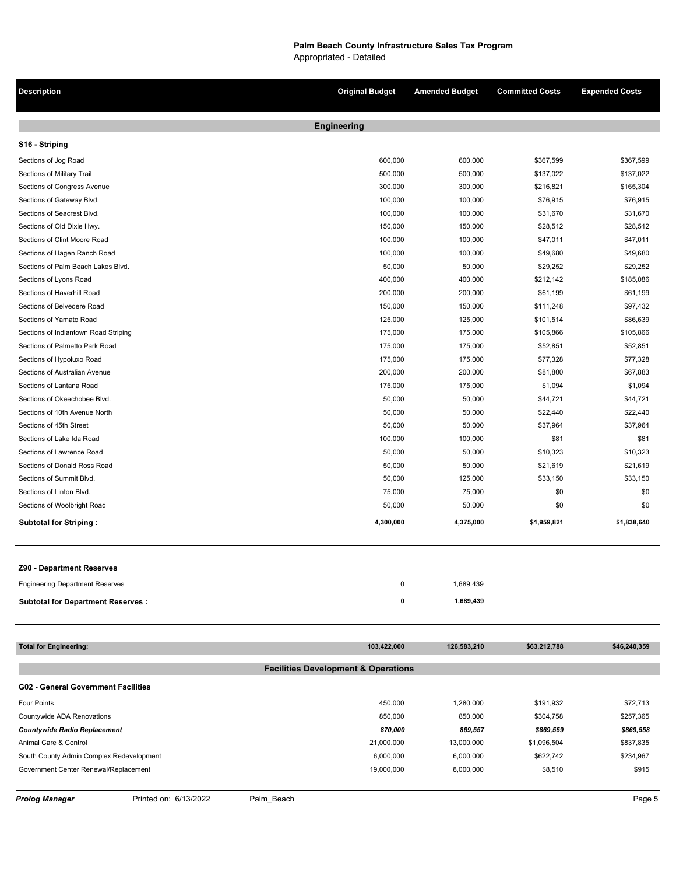**Description Original Budget Amended Budget Committed Costs Expended Costs Engineering S16 - Striping** Sections of Jog Road 600,000 600,000 600,000 600,000 5367,599 \$367,599 \$367,599 \$367,599 \$367,599 \$367,599 \$367,599 Sections of Military Trail 500,000 500,000 \$137,022 \$137,022 Sections of Congress Avenue 306,5304 \$165,304 \$165,304 \$165,304 \$165,304 \$216,821 \$165,304 Sections of Gateway Blvd. 2012. 2013. The Sections of Gateway Blvd. 2013. 100,000 100,000 100,000 \$76,915 \$76,915 Sections of Seacrest Blvd. 100,000 100,000 \$31,670 \$31,670 Sections of Old Dixie Hwy. 150,000 150,000 150,000 \$28,512 \$28,512 \$28,512 Sections of Clint Moore Road 647,011 547,011 547,011 547,011 547,011 547,011 Sections of Hagen Ranch Road **100,000** 100,000 100,000 \$49,680 \$49,680 \$49,680 \$49,680 \$49,680 \$49,680 \$49,680 \$49,680 \$49,680 \$49,680 \$49,680 \$49,680 \$49,680 \$49,680 \$49,680 \$49,680 \$49,680 \$49,680 \$49,680 \$49,680 \$49,680 Sections of Palm Beach Lakes Blvd. 629,252 \$29,252 \$29,252 \$29,252 \$29,252 \$29,252 \$29,252 \$29,252 \$29,252 \$29,252 \$29,252 \$29,252 \$29,252 \$29,252 \$29,252 \$29,252 \$29,252 \$29,252 \$29,252 \$29,252 \$29,252 \$29,252 \$29,252 \$29 Sections of Lyons Road 400,000 400,000 \$212,142 \$185,086 Sections of Haverhill Road 200,000 200,000 \$61,199 \$61,199 Sections of Belvedere Road 150,000 150,000 \$111,248 \$97,432 Sections of Yamato Road 125,000 125,000 \$101,514 \$86,639 Sections of Indiantown Road Striping 175,000 5105,866 \$105,866 \$105,866 \$105,866 \$105,866 \$105,866 Sections of Palmetto Park Road **175,000** 175,000 175,000 552,851 \$52,851 \$52,851 Sections of Hypoluxo Road **177,328** \$77,328 \$77,328 \$77,328 \$77,328 \$77,328 \$77,328 \$179,000 \$175,000 \$179,928 \$77,328 \$179,328 \$179,328 \$179,328 \$179,328 \$179,328 \$179,328 \$179,328 \$179,328 \$179,328 \$179,328 \$179,328 \$179 Sections of Australian Avenue 200,000 200,000 \$81,800 \$67,883 Sections of Lantana Road **175,000** 175,000 51,094 \$1,094 \$1,094 \$1,094 Sections of Okeechobee Blvd. 644,721 \$44,721 \$44,721 \$44,721 \$44,721 \$44,721 \$50,000 \$50,000 \$50,000 \$544,721 Sections of 10th Avenue North 50,000 50,000 \$22,440 \$22,440 Sections of 45th Street 50,000 50,000 \$37,964 \$37,964 Sections of Lake Ida Road 100,000 100,000 \$81 \$81 Sections of Lawrence Road **50,000** 50,000 50,000 50,000 50,000 50,000 50,000 50,000 510,323 Sections of Donald Ross Road \$21,619 \$221,619 \$221,619 \$221,619 Sections of Summit Blvd. 633,150 \$33,150 \$33,150 \$33,150 \$33,150 \$33,150 \$33,150 \$33,150 \$53,150 \$53,150 \$535,150 \$535,150 \$535,150 \$535,150 \$535,150 \$535,150 \$535,150 \$535,150 \$535,150 \$535,150 \$535,150 \$535,150 \$535,150 Sections of Linton Blvd. 2008 2008 10:00 10:00 10:00 10:00 10:00 10:00 10:00 10:00 10:00 10:00 10:00 10:00 10:0 Sections of Woolbright Road 50,000 50,000 \$0 \$0 **Subtotal for Striping : 27 4,300,000 4,375,000 \$1,959,821 \$1,838,640 Z90 - Department Reserves** Engineering Department Reserves **0** 1,689,439 **Subtotal for Department Reserves :** 1,689,439

| <b>Total for Engineering:</b>              | 103,422,000                                    | 126,583,210 | \$63,212,788 | \$46,240,359 |
|--------------------------------------------|------------------------------------------------|-------------|--------------|--------------|
|                                            |                                                |             |              |              |
|                                            | <b>Facilities Development &amp; Operations</b> |             |              |              |
| <b>G02 - General Government Facilities</b> |                                                |             |              |              |
| <b>Four Points</b>                         | 450,000                                        | 1,280,000   | \$191,932    | \$72,713     |
| Countywide ADA Renovations                 | 850.000                                        | 850,000     | \$304,758    | \$257.365    |
| <b>Countywide Radio Replacement</b>        | 870.000                                        | 869,557     | \$869,559    | \$869,558    |
| Animal Care & Control                      | 21,000,000                                     | 13,000,000  | \$1,096,504  | \$837,835    |
| South County Admin Complex Redevelopment   | 6.000.000                                      | 6,000,000   | \$622,742    | \$234,967    |
| Government Center Renewal/Replacement      | 19,000,000                                     | 8,000,000   | \$8,510      | \$915        |
|                                            |                                                |             |              |              |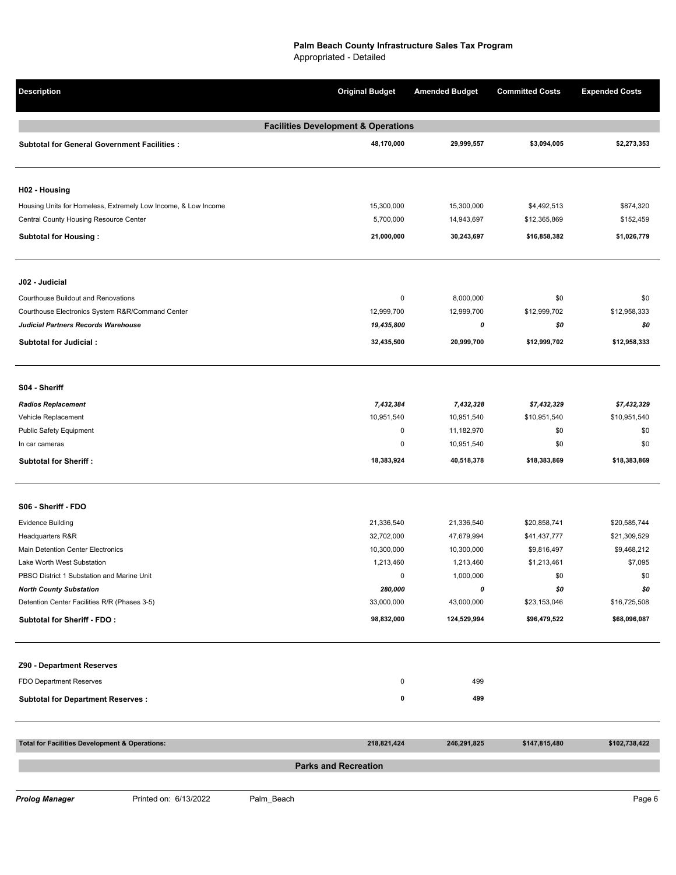| <b>Description</b>                                             | <b>Original Budget</b>      | <b>Amended Budget</b> | <b>Committed Costs</b> | <b>Expended Costs</b> |  |  |
|----------------------------------------------------------------|-----------------------------|-----------------------|------------------------|-----------------------|--|--|
| <b>Facilities Development &amp; Operations</b>                 |                             |                       |                        |                       |  |  |
| <b>Subtotal for General Government Facilities:</b>             | 48,170,000                  | 29,999,557            | \$3,094,005            | \$2,273,353           |  |  |
| H02 - Housing                                                  |                             |                       |                        |                       |  |  |
| Housing Units for Homeless, Extremely Low Income, & Low Income | 15,300,000                  | 15,300,000            | \$4,492,513            | \$874,320             |  |  |
| Central County Housing Resource Center                         | 5,700,000                   | 14,943,697            | \$12,365,869           | \$152,459             |  |  |
| <b>Subtotal for Housing:</b>                                   | 21,000,000                  | 30,243,697            | \$16,858,382           | \$1,026,779           |  |  |
| J02 - Judicial                                                 |                             |                       |                        |                       |  |  |
| Courthouse Buildout and Renovations                            | 0                           | 8,000,000             | \$0                    | \$0                   |  |  |
| Courthouse Electronics System R&R/Command Center               | 12,999,700                  | 12,999,700            | \$12,999,702           | \$12,958,333          |  |  |
| Judicial Partners Records Warehouse                            | 19,435,800                  | 0                     | \$0                    | \$0                   |  |  |
| Subtotal for Judicial:                                         | 32,435,500                  | 20,999,700            | \$12,999,702           | \$12,958,333          |  |  |
|                                                                |                             |                       |                        |                       |  |  |
| S04 - Sheriff                                                  |                             |                       |                        |                       |  |  |
| <b>Radios Replacement</b>                                      | 7,432,384                   | 7,432,328             | \$7,432,329            | \$7,432,329           |  |  |
| Vehicle Replacement                                            | 10,951,540                  | 10,951,540            | \$10,951,540           | \$10,951,540          |  |  |
| Public Safety Equipment                                        | $\pmb{0}$                   | 11,182,970            | \$0                    | \$0                   |  |  |
| In car cameras                                                 | $\pmb{0}$                   | 10,951,540            | \$0                    | \$0                   |  |  |
| <b>Subtotal for Sheriff:</b>                                   | 18,383,924                  | 40,518,378            | \$18,383,869           | \$18,383,869          |  |  |
| S06 - Sheriff - FDO                                            |                             |                       |                        |                       |  |  |
| <b>Evidence Building</b>                                       | 21,336,540                  | 21,336,540            | \$20,858,741           | \$20,585,744          |  |  |
| Headquarters R&R                                               | 32,702,000                  | 47,679,994            | \$41,437,777           | \$21,309,529          |  |  |
| Main Detention Center Electronics                              | 10,300,000                  | 10,300,000            | \$9,816,497            | \$9,468,212           |  |  |
| Lake Worth West Substation                                     | 1,213,460                   | 1,213,460             | \$1,213,461            | \$7,095               |  |  |
| PBSO District 1 Substation and Marine Unit                     | 0                           | 1,000,000             | \$0                    | \$0                   |  |  |
| <b>North County Substation</b>                                 | 280,000                     | 0                     | \$0                    | \$0                   |  |  |
| Detention Center Facilities R/R (Phases 3-5)                   | 33,000,000                  | 43,000,000            | \$23,153,046           | \$16,725,508          |  |  |
| <b>Subtotal for Sheriff - FDO:</b>                             | 98,832,000                  | 124,529,994           | \$96,479,522           | \$68,096,087          |  |  |
| Z90 - Department Reserves                                      |                             |                       |                        |                       |  |  |
| FDO Department Reserves                                        | 0                           | 499                   |                        |                       |  |  |
| <b>Subtotal for Department Reserves:</b>                       | 0                           | 499                   |                        |                       |  |  |
|                                                                |                             |                       |                        |                       |  |  |
| <b>Total for Facilities Development &amp; Operations:</b>      | 218,821,424                 | 246,291,825           | \$147,815,480          | \$102,738,422         |  |  |
|                                                                | <b>Parks and Recreation</b> |                       |                        |                       |  |  |
|                                                                |                             |                       |                        |                       |  |  |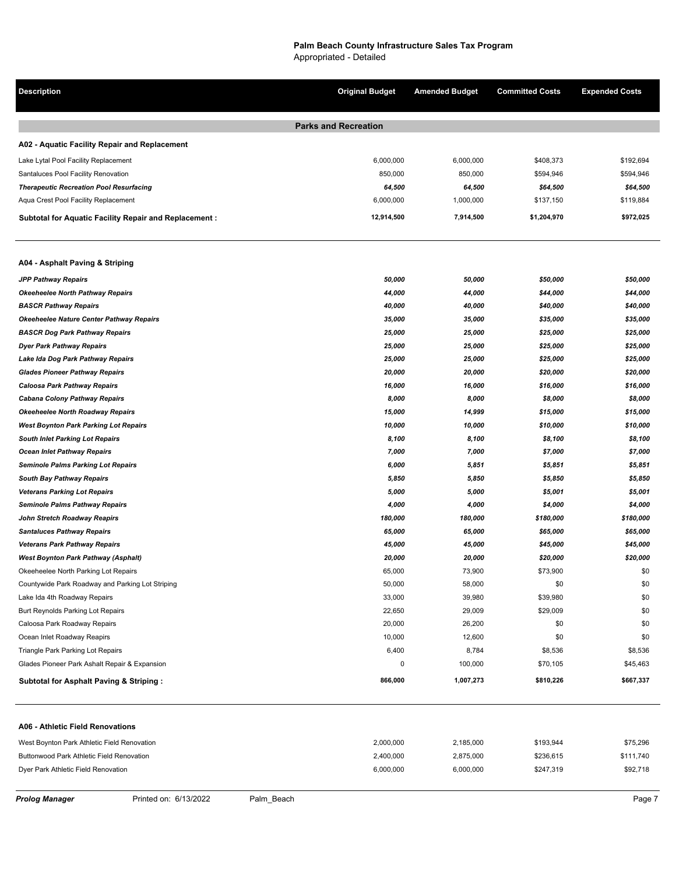**Description Original Budget Amended Budget Committed Costs Expended Costs Parks and Recreation A02 - Aquatic Facility Repair and Replacement** Lake Lytal Pool Facility Replacement \$192,694 \$192,694 \$192,694 \$192,694 \$192,694 \$192,694 \$192,694 Santaluces Pool Facility Renovation 6594,946 **850,000** 850,000 850,000 850,000 8504,946 850,000 85594,946 8504,946 *Therapeutic Recreation Pool Resurfacing 64,500 64,500 \$64,500 \$64,500*  Aqua Crest Pool Facility Replacement 6,000,000 1,000,000 \$137,150 \$119,884 **Subtotal for Aquatic Facility Repair and Replacement : 4 12,914,500 7,914,500 \$1,204,970 \$972,025 A04 - Asphalt Paving & Striping** *JPP Pathway Repairs 50,000 50,000 \$50,000 \$50,000 Okeeheelee North Pathway Repairs 44,000 44,000 \$44,000 \$44,000 BASCR Pathway Repairs 40,000 40,000 \$40,000 \$40,000 Okeeheelee Nature Center Pathway Repairs 35,000 35,000 \$35,000 \$35,000 BASCR Dog Park Pathway Repairs 25,000 25,000 \$25,000 \$25,000 Dyer Park Pathway Repairs 25,000 25,000 \$25,000 \$25,000 Lake Ida Dog Park Pathway Repairs 25,000 25,000 \$25,000 \$25,000 Glades Pioneer Pathway Repairs 20,000 20,000 \$20,000 \$20,000 Caloosa Park Pathway Repairs 16,000 16,000 \$16,000 \$16,000 Cabana Colony Pathway Repairs 8,000 8,000 \$8,000 \$8,000 Okeeheelee North Roadway Repairs 15,000 14,999 \$15,000 \$15,000 West Boynton Park Parking Lot Repairs 10,000 10,000 \$10,000 \$10,000 South Inlet Parking Lot Repairs 8,100 8,100 \$8,100 \$8,100 Ocean Inlet Pathway Repairs 7,000 7,000 \$7,000 \$7,000 Seminole Palms Parking Lot Repairs 6,000 5,851 \$5,851 \$5,851 South Bay Pathway Repairs 5,850 5,850 \$5,850 \$5,850 Veterans Parking Lot Repairs 5,000 5,000 \$5,001 \$5,001 Seminole Palms Pathway Repairs 4,000 4,000 \$4,000 \$4,000 John Stretch Roadway Reapirs 180,000 180,000 \$180,000 \$180,000 Santaluces Pathway Repairs 65,000 65,000 \$65,000 \$65,000 Veterans Park Pathway Repairs 45,000 45,000 \$45,000 \$45,000 West Boynton Park Pathway (Asphalt) 20,000 20,000 \$20,000 \$20,000*  Okeeheelee North Parking Lot Repairs 65,000 73,900 \$73,900 \$0 Countywide Park Roadway and Parking Lot Striping 50,000 58,000 \$0 \$0 Lake Ida 4th Roadway Repairs 33,000 39,980 \$39,980 \$0 Burt Reynolds Parking Lot Repairs 22,650 29,009 \$29,009 \$0 Caloosa Park Roadway Repairs and the compared of the compared of the compared of the compared of the compared term of the compared of the compared of the compared of the compared of the compared of the compared of the comp ocean Inlet Roadway Reapirs and the Company of the Company of the Company of the Company of the Company of the Company of the Company of the Company of the Company of the Company of the Company of the Company of the Compan Triangle Park Parking Lot Repairs 6,400 58,536 \$8,536 \$8,536 \$8,536 \$8,536 \$8,536 \$8,536 \$8,536 \$8,536 \$8,536 \$8,536 \$8,536 \$8,536 \$8,536 \$8,536 \$8,536 \$8,536 \$8,536 \$8,536 \$8,536 \$8,536 \$8,536 \$8,536 \$8,536 \$8,536 \$8,536 Glades Pioneer Park Ashalt Repair & Expansion 645,463 (1999) 845,463 **Subtotal for Asphalt Paving & Striping : 30 866,000 1,007,273 \$810,226 \$667,337 A06 - Athletic Field Renovations** West Boynton Park Athletic Field Renovation 2,55,296 2,000 2,000,000 2,185,000 2,185,000 2,185,000 \$193,944 \$75,296 Buttonwood Park Athletic Field Renovation 2,400,000 2,400,000 2,875,000 \$236,615 \$236,615 \$236,615

Dyer Park Athletic Field Renovation 6,000,000 6,000,000 \$247,319 \$92,718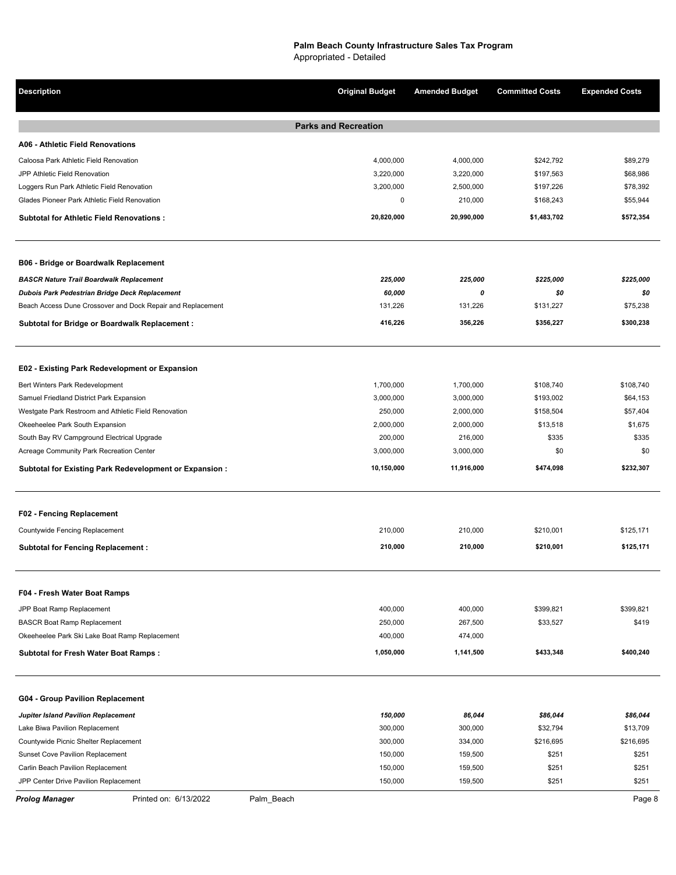| <b>Description</b>                                          | <b>Original Budget</b>      | <b>Amended Budget</b> | <b>Committed Costs</b> | <b>Expended Costs</b> |
|-------------------------------------------------------------|-----------------------------|-----------------------|------------------------|-----------------------|
|                                                             | <b>Parks and Recreation</b> |                       |                        |                       |
| A06 - Athletic Field Renovations                            |                             |                       |                        |                       |
| Caloosa Park Athletic Field Renovation                      | 4,000,000                   | 4,000,000             | \$242,792              | \$89,279              |
| JPP Athletic Field Renovation                               | 3,220,000                   | 3,220,000             | \$197,563              | \$68,986              |
| Loggers Run Park Athletic Field Renovation                  | 3,200,000                   | 2,500,000             | \$197,226              | \$78,392              |
| Glades Pioneer Park Athletic Field Renovation               | 0                           | 210,000               | \$168,243              | \$55,944              |
| <b>Subtotal for Athletic Field Renovations:</b>             | 20,820,000                  | 20,990,000            | \$1,483,702            | \$572,354             |
| <b>B06 - Bridge or Boardwalk Replacement</b>                |                             |                       |                        |                       |
| <b>BASCR Nature Trail Boardwalk Replacement</b>             | 225,000                     | 225,000               | \$225,000              | \$225,000             |
| Dubois Park Pedestrian Bridge Deck Replacement              | 60,000                      | 0                     | \$0                    | \$0                   |
| Beach Access Dune Crossover and Dock Repair and Replacement | 131,226                     | 131,226               | \$131,227              | \$75,238              |
| <b>Subtotal for Bridge or Boardwalk Replacement:</b>        | 416,226                     | 356,226               | \$356,227              | \$300,238             |
| E02 - Existing Park Redevelopment or Expansion              |                             |                       |                        |                       |
| Bert Winters Park Redevelopment                             | 1,700,000                   | 1,700,000             | \$108,740              | \$108,740             |
| Samuel Friedland District Park Expansion                    | 3,000,000                   | 3,000,000             | \$193,002              | \$64,153              |
| Westgate Park Restroom and Athletic Field Renovation        | 250,000                     | 2,000,000             | \$158,504              | \$57,404              |
| Okeeheelee Park South Expansion                             | 2,000,000                   | 2,000,000             | \$13,518               | \$1,675               |
| South Bay RV Campground Electrical Upgrade                  | 200,000                     | 216,000               | \$335                  | \$335                 |
| Acreage Community Park Recreation Center                    | 3,000,000                   | 3,000,000             | \$0                    | \$0                   |
| Subtotal for Existing Park Redevelopment or Expansion:      | 10,150,000                  | 11,916,000            | \$474,098              | \$232,307             |
| F02 - Fencing Replacement                                   |                             |                       |                        |                       |
| Countywide Fencing Replacement                              | 210,000                     | 210,000               | \$210,001              | \$125,171             |
| <b>Subtotal for Fencing Replacement:</b>                    | 210,000                     | 210,000               | \$210,001              | \$125,171             |
| F04 - Fresh Water Boat Ramps                                |                             |                       |                        |                       |
| JPP Boat Ramp Replacement                                   | 400,000                     | 400,000               | \$399,821              | \$399,821             |
| <b>BASCR Boat Ramp Replacement</b>                          | 250,000                     | 267,500               | \$33,527               | \$419                 |
| Okeeheelee Park Ski Lake Boat Ramp Replacement              | 400,000                     | 474,000               |                        |                       |
| <b>Subtotal for Fresh Water Boat Ramps:</b>                 | 1,050,000                   | 1,141,500             | \$433,348              | \$400,240             |
|                                                             |                             |                       |                        |                       |
| G04 - Group Pavilion Replacement                            |                             |                       |                        |                       |
| Jupiter Island Pavilion Replacement                         | 150,000                     | 86,044                | \$86,044               | \$86,044              |
| Lake Biwa Pavilion Replacement                              | 300,000                     | 300,000               | \$32,794               | \$13,709              |
| Countywide Picnic Shelter Replacement                       | 300,000                     | 334,000               | \$216,695              | \$216,695             |
| Sunset Cove Pavilion Replacement                            | 150,000                     | 159,500               | \$251                  | \$251                 |
| Carlin Beach Pavilion Replacement                           | 150,000                     | 159,500               | \$251                  | \$251                 |
| JPP Center Drive Pavilion Replacement                       | 150,000                     | 159,500               | \$251                  | \$251                 |

**Prolog Manager Printed on: 6/13/2022** Palm\_Beach **Page 8** Page 8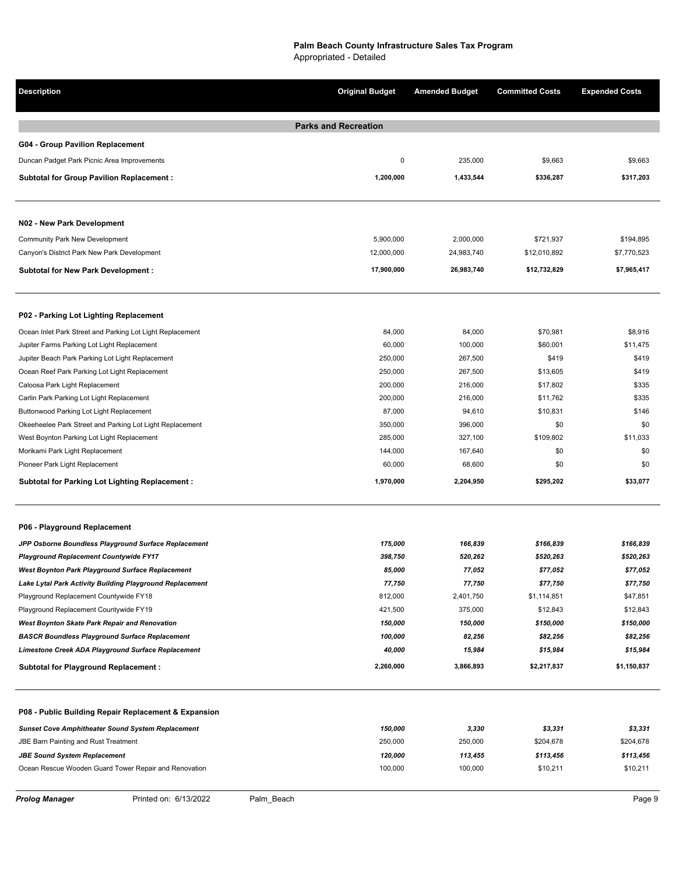| Description                                               | <b>Original Budget</b>      | <b>Amended Budget</b> | <b>Committed Costs</b> | <b>Expended Costs</b> |
|-----------------------------------------------------------|-----------------------------|-----------------------|------------------------|-----------------------|
|                                                           | <b>Parks and Recreation</b> |                       |                        |                       |
| <b>G04 - Group Pavilion Replacement</b>                   |                             |                       |                        |                       |
| Duncan Padget Park Picnic Area Improvements               | 0                           | 235,000               | \$9,663                | \$9,663               |
| <b>Subtotal for Group Pavilion Replacement:</b>           | 1,200,000                   | 1,433,544             | \$336,287              | \$317,203             |
|                                                           |                             |                       |                        |                       |
| N02 - New Park Development                                |                             |                       |                        |                       |
| Community Park New Development                            | 5,900,000                   | 2,000,000             | \$721,937              | \$194,895             |
| Canyon's District Park New Park Development               | 12,000,000                  | 24,983,740            | \$12,010,892           | \$7,770,523           |
| <b>Subtotal for New Park Development:</b>                 | 17,900,000                  | 26,983,740            | \$12,732,829           | \$7,965,417           |
| P02 - Parking Lot Lighting Replacement                    |                             |                       |                        |                       |
| Ocean Inlet Park Street and Parking Lot Light Replacement | 84,000                      | 84,000                | \$70,981               | \$8,916               |
| Jupiter Farms Parking Lot Light Replacement               | 60,000                      | 100,000               | \$60,001               | \$11,475              |
| Jupiter Beach Park Parking Lot Light Replacement          | 250,000                     | 267,500               | \$419                  | \$419                 |
| Ocean Reef Park Parking Lot Light Replacement             | 250,000                     | 267,500               | \$13,605               | \$419                 |
| Caloosa Park Light Replacement                            | 200,000                     | 216,000               | \$17,802               | \$335                 |
| Carlin Park Parking Lot Light Replacement                 | 200,000                     | 216,000               | \$11,762               | \$335                 |
| Buttonwood Parking Lot Light Replacement                  | 87,000                      | 94,610                | \$10,831               | \$146                 |
| Okeeheelee Park Street and Parking Lot Light Replacement  | 350,000                     | 396,000               | \$0                    | \$0                   |
| West Boynton Parking Lot Light Replacement                | 285,000                     | 327,100               | \$109,802              | \$11,033              |
| Morikami Park Light Replacement                           | 144,000                     | 167,640               | \$0                    | \$0                   |
| Pioneer Park Light Replacement                            | 60,000                      | 68,600                | \$0                    | \$0                   |
| <b>Subtotal for Parking Lot Lighting Replacement:</b>     | 1,970,000                   | 2,204,950             | \$295,202              | \$33,077              |
| P06 - Playground Replacement                              |                             |                       |                        |                       |
| JPP Osborne Boundless Playground Surface Replacement      | 175,000                     | 166,839               | \$166,839              | \$166,839             |
| Playground Replacement Countywide FY17                    | 398,750                     | 520,262               | \$520,263              | \$520,263             |
| West Boynton Park Playground Surface Replacement          | 85,000                      | 77,052                | \$77,052               | \$77,052              |
| Lake Lytal Park Activity Building Playground Replacement  | 77,750                      | 77,750                | \$77,750               | \$77,750              |
| Playground Replacement Countywide FY18                    | 812,000                     | 2,401,750             | \$1,114,851            | \$47,851              |
| Playground Replacement Countywide FY19                    | 421,500                     | 375,000               | \$12,843               | \$12,843              |
| West Boynton Skate Park Repair and Renovation             | 150,000                     | 150,000               | \$150,000              | \$150,000             |
| <b>BASCR Boundless Playground Surface Replacement</b>     | 100,000                     | 82,256                | \$82,256               | \$82,256              |
| Limestone Creek ADA Playground Surface Replacement        | 40,000                      | 15,984                | \$15,984               | \$15,984              |
| <b>Subtotal for Playground Replacement:</b>               | 2,260,000                   | 3,866,893             | \$2,217,837            | \$1,150,837           |
| P08 - Public Building Repair Replacement & Expansion      |                             |                       |                        |                       |
| <b>Sunset Cove Amphitheater Sound System Replacement</b>  | 150,000                     | 3,330                 | \$3,331                | \$3,331               |
| <b>JBE Barn Painting and Rust Treatment</b>               | 250,000                     | 250,000               | \$204,678              | \$204,678             |
| <b>JBE Sound System Replacement</b>                       | 120,000                     | 113,455               | \$113,456              | \$113,456             |
| Ocean Rescue Wooden Guard Tower Repair and Renovation     | 100,000                     | 100,000               | \$10,211               | \$10,211              |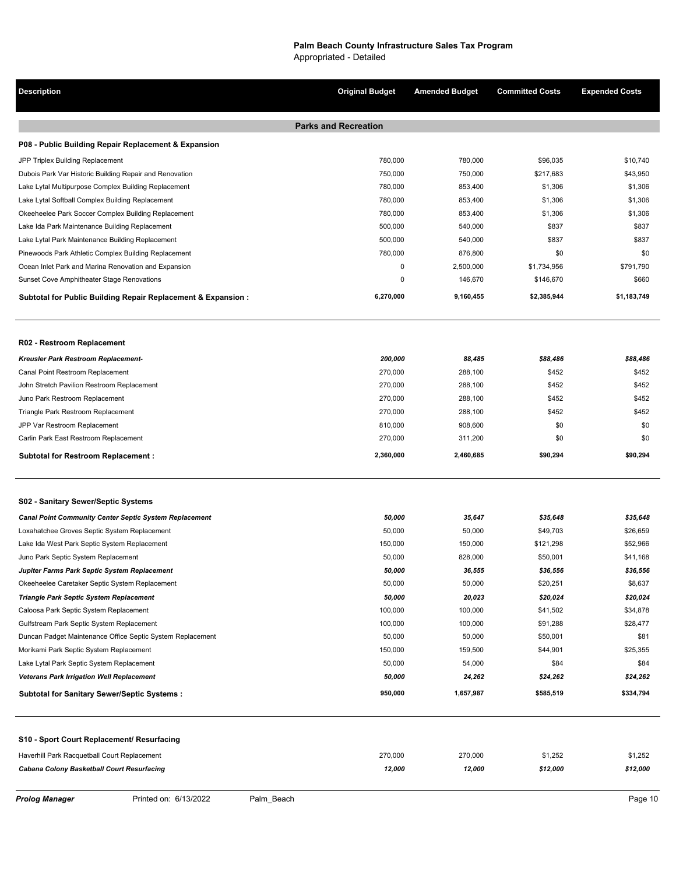# **Palm Beach County Infrastructure Sales Tax Program**

Appropriated - Detailed

| Description                                                   | <b>Original Budget</b>      | <b>Amended Budget</b> | <b>Committed Costs</b> | <b>Expended Costs</b> |
|---------------------------------------------------------------|-----------------------------|-----------------------|------------------------|-----------------------|
|                                                               | <b>Parks and Recreation</b> |                       |                        |                       |
| P08 - Public Building Repair Replacement & Expansion          |                             |                       |                        |                       |
| JPP Triplex Building Replacement                              | 780,000                     | 780,000               | \$96,035               | \$10,740              |
| Dubois Park Var Historic Building Repair and Renovation       | 750,000                     | 750,000               | \$217,683              | \$43,950              |
| Lake Lytal Multipurpose Complex Building Replacement          | 780,000                     | 853,400               | \$1,306                | \$1,306               |
| Lake Lytal Softball Complex Building Replacement              | 780,000                     | 853,400               | \$1,306                | \$1,306               |
| Okeeheelee Park Soccer Complex Building Replacement           | 780,000                     | 853,400               | \$1,306                | \$1,306               |
| Lake Ida Park Maintenance Building Replacement                | 500,000                     | 540,000               | \$837                  | \$837                 |
| Lake Lytal Park Maintenance Building Replacement              | 500,000                     | 540,000               | \$837                  | \$837                 |
| Pinewoods Park Athletic Complex Building Replacement          | 780,000                     | 876,800               | \$0                    | \$0                   |
| Ocean Inlet Park and Marina Renovation and Expansion          | 0                           | 2,500,000             | \$1,734,956            | \$791,790             |
| Sunset Cove Amphitheater Stage Renovations                    | 0                           | 146,670               | \$146,670              | \$660                 |
| Subtotal for Public Building Repair Replacement & Expansion : | 6,270,000                   | 9,160,455             | \$2,385,944            | \$1,183,749           |
|                                                               |                             |                       |                        |                       |
| R02 - Restroom Replacement                                    |                             |                       |                        |                       |
| Kreusler Park Restroom Replacement-                           | 200,000                     | 88,485                | \$88,486               | \$88,486              |
| Canal Point Restroom Replacement                              | 270,000                     | 288,100               | \$452                  | \$452                 |
| John Stretch Pavilion Restroom Replacement                    | 270,000                     | 288,100               | \$452                  | \$452                 |
| Juno Park Restroom Replacement                                | 270,000                     | 288,100               | \$452                  | \$452                 |
| Triangle Park Restroom Replacement                            | 270,000                     | 288,100               | \$452                  | \$452                 |
| JPP Var Restroom Replacement                                  | 810,000                     | 908,600               | \$0                    | \$0                   |
| Carlin Park East Restroom Replacement                         | 270,000                     | 311,200               | \$0                    | \$0                   |
| <b>Subtotal for Restroom Replacement:</b>                     | 2,360,000                   | 2,460,685             | \$90,294               | \$90,294              |
| S02 - Sanitary Sewer/Septic Systems                           |                             |                       |                        |                       |
| <b>Canal Point Community Center Septic System Replacement</b> | 50,000                      | 35,647                | \$35,648               | \$35,648              |
| Loxahatchee Groves Septic System Replacement                  | 50,000                      | 50,000                | \$49,703               | \$26,659              |
| Lake Ida West Park Septic System Replacement                  | 150,000                     | 150,000               | \$121,298              | \$52,966              |
| Juno Park Septic System Replacement                           | 50,000                      | 828,000               | \$50,001               | \$41,168              |
| Jupiter Farms Park Septic System Replacement                  | 50,000                      | 36,555                | \$36,556               | \$36,556              |
| Okeeheelee Caretaker Septic System Replacement                | 50,000                      | 50,000                | \$20,251               | \$8,637               |
| <b>Triangle Park Septic System Replacement</b>                | 50,000                      | 20,023                | \$20,024               | \$20,024              |
| Caloosa Park Septic System Replacement                        | 100,000                     | 100,000               | \$41,502               | \$34,878              |
| Gulfstream Park Septic System Replacement                     | 100,000                     | 100,000               | \$91,288               | \$28,477              |
| Duncan Padget Maintenance Office Septic System Replacement    | 50,000                      | 50,000                | \$50,001               | \$81                  |
| Morikami Park Septic System Replacement                       | 150,000                     | 159,500               | \$44,901               | \$25,355              |
| Lake Lytal Park Septic System Replacement                     | 50,000                      | 54,000                | \$84                   | \$84                  |
| <b>Veterans Park Irrigation Well Replacement</b>              | 50,000                      | 24,262                | \$24,262               | \$24,262              |
| <b>Subtotal for Sanitary Sewer/Septic Systems:</b>            | 950,000                     | 1,657,987             | \$585,519              | \$334,794             |
|                                                               |                             |                       |                        |                       |

## **S10 - Sport Court Replacement/ Resurfacing**

| Haverhill Park Racquetball Court Replacement | 270.000 | 270.000 | \$1.252  | \$1.252  |
|----------------------------------------------|---------|---------|----------|----------|
| Cabana Colony Basketball Court Resurfacing   | 12.000  | 12.000  | \$12.000 | \$12.000 |